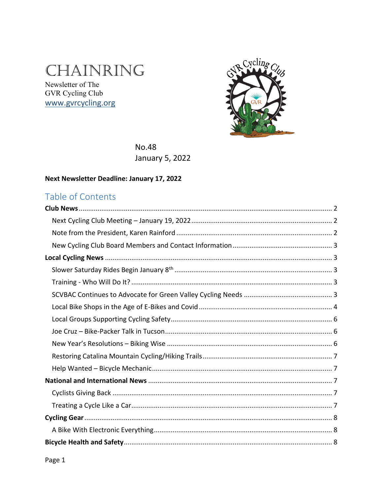# CHAINRING

Newsletter of The GVR Cycling Club www.gvrcycling.org



**No.48 January 5, 2022** 

#### Next Newsletter Deadline: January 17, 2022

### Table of Contents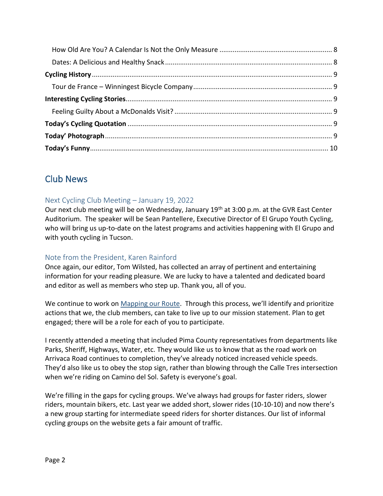### <span id="page-1-0"></span>Club News

### <span id="page-1-1"></span>Next Cycling Club Meeting – January 19, 2022

Our next club meeting will be on Wednesday, January 19<sup>th</sup> at 3:00 p.m. at the GVR East Center Auditorium. The speaker will be Sean Pantellere, Executive Director of El Grupo Youth Cycling, who will bring us up-to-date on the latest programs and activities happening with El Grupo and with youth cycling in Tucson.

### <span id="page-1-2"></span>Note from the President, Karen Rainford

Once again, our editor, Tom Wilsted, has collected an array of pertinent and entertaining information for your reading pleasure. We are lucky to have a talented and dedicated board and editor as well as members who step up. Thank you, all of you.

We continue to work on [Mapping our Route.](https://www.gvrcycling.org/mapping-our-route.html#/) Through this process, we'll identify and prioritize actions that we, the club members, can take to live up to our mission statement. Plan to get engaged; there will be a role for each of you to participate.

I recently attended a meeting that included Pima County representatives from departments like Parks, Sheriff, Highways, Water, etc. They would like us to know that as the road work on Arrivaca Road continues to completion, they've already noticed increased vehicle speeds. They'd also like us to obey the stop sign, rather than blowing through the Calle Tres intersection when we're riding on Camino del Sol. Safety is everyone's goal.

We're filling in the gaps for cycling groups. We've always had groups for faster riders, slower riders, mountain bikers, etc. Last year we added short, slower rides (10-10-10) and now there's a new group starting for intermediate speed riders for shorter distances. Our list of informal cycling groups on the website gets a fair amount of traffic.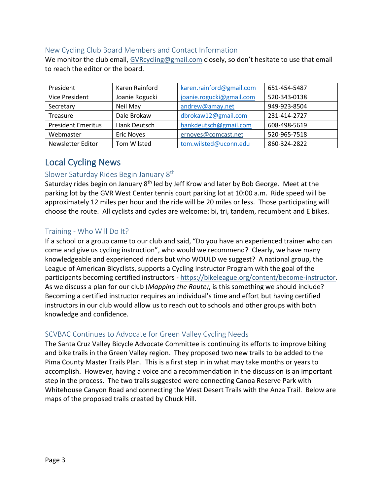#### <span id="page-2-0"></span>New Cycling Club Board Members and Contact Information

We monitor the club email, [GVRcycling@gmail.com](mailto:GVRcycling@gmail.com) closely, so don't hesitate to use that email to reach the editor or the board.

| President                 | Karen Rainford    | karen.rainford@gmail.com | 651-454-5487 |
|---------------------------|-------------------|--------------------------|--------------|
| <b>Vice President</b>     | Joanie Rogucki    | joanie.rogucki@gmail.com | 520-343-0138 |
| Secretary                 | Neil May          | andrew@amay.net          | 949-923-8504 |
| <b>Treasure</b>           | Dale Brokaw       | dbrokaw12@gmail.com      | 231-414-2727 |
| <b>President Emeritus</b> | Hank Deutsch      | hankdeutsch@gmail.com    | 608-498-5619 |
| Webmaster                 | <b>Eric Noyes</b> | ernoyes@comcast.net      | 520-965-7518 |
| Newsletter Editor         | Tom Wilsted       | tom.wilsted@uconn.edu    | 860-324-2822 |

### <span id="page-2-1"></span>Local Cycling News

#### <span id="page-2-2"></span>Slower Saturday Rides Begin January 8th

Saturday rides begin on January 8<sup>th</sup> led by Jeff Krow and later by Bob George. Meet at the parking lot by the GVR West Center tennis court parking lot at 10:00 a.m. Ride speed will be approximately 12 miles per hour and the ride will be 20 miles or less. Those participating will choose the route. All cyclists and cycles are welcome: bi, tri, tandem, recumbent and E bikes.

#### <span id="page-2-3"></span>Training - Who Will Do It?

If a school or a group came to our club and said, "Do you have an experienced trainer who can come and give us cycling instruction", who would we recommend? Clearly, we have many knowledgeable and experienced riders but who WOULD we suggest? A national group, the League of American Bicyclists, supports a Cycling Instructor Program with the goal of the participants becoming certified instructors - [https://bikeleague.org/content/become-instructor.](https://bikeleague.org/content/become-instructor) As we discuss a plan for our club (*Mapping the Route)*, is this something we should include? Becoming a certified instructor requires an individual's time and effort but having certified instructors in our club would allow us to reach out to schools and other groups with both knowledge and confidence.

#### <span id="page-2-4"></span>SCVBAC Continues to Advocate for Green Valley Cycling Needs

The Santa Cruz Valley Bicycle Advocate Committee is continuing its efforts to improve biking and bike trails in the Green Valley region. They proposed two new trails to be added to the Pima County Master Trails Plan. This is a first step in in what may take months or years to accomplish. However, having a voice and a recommendation in the discussion is an important step in the process. The two trails suggested were connecting Canoa Reserve Park with Whitehouse Canyon Road and connecting the West Desert Trails with the Anza Trail. Below are maps of the proposed trails created by Chuck Hill.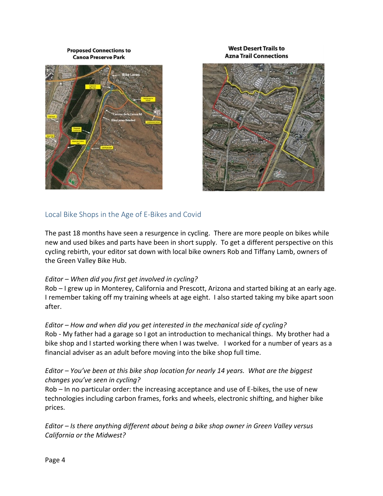**Proposed Connections to Canoa Preserve Park** 





**West Desert Trails to** 

#### <span id="page-3-0"></span>Local Bike Shops in the Age of E-Bikes and Covid

The past 18 months have seen a resurgence in cycling. There are more people on bikes while new and used bikes and parts have been in short supply. To get a different perspective on this cycling rebirth, your editor sat down with local bike owners Rob and Tiffany Lamb, owners of the Green Valley Bike Hub.

#### *Editor – When did you first get involved in cycling?*

Rob – I grew up in Monterey, California and Prescott, Arizona and started biking at an early age. I remember taking off my training wheels at age eight. I also started taking my bike apart soon after.

#### *Editor – How and when did you get interested in the mechanical side of cycling?*

Rob - My father had a garage so I got an introduction to mechanical things. My brother had a bike shop and I started working there when I was twelve. I worked for a number of years as a financial adviser as an adult before moving into the bike shop full time.

#### *Editor – You've been at this bike shop location for nearly 14 years. What are the biggest changes you've seen in cycling?*

Rob – In no particular order: the increasing acceptance and use of E-bikes, the use of new technologies including carbon frames, forks and wheels, electronic shifting, and higher bike prices.

*Editor – Is there anything different about being a bike shop owner in Green Valley versus California or the Midwest?*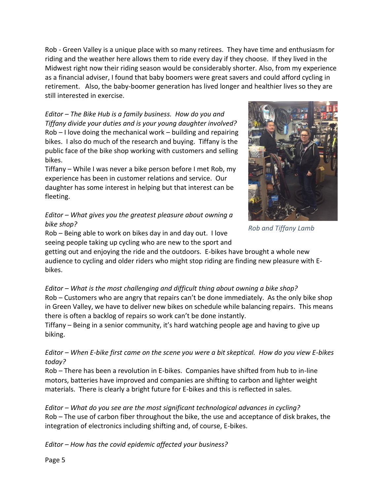Rob - Green Valley is a unique place with so many retirees. They have time and enthusiasm for riding and the weather here allows them to ride every day if they choose. If they lived in the Midwest right now their riding season would be considerably shorter. Also, from my experience as a financial adviser, I found that baby boomers were great savers and could afford cycling in retirement. Also, the baby-boomer generation has lived longer and healthier lives so they are still interested in exercise.

#### *Editor – The Bike Hub is a family business. How do you and Tiffany divide your duties and is your young daughter involved?* Rob – I love doing the mechanical work – building and repairing bikes. I also do much of the research and buying. Tiffany is the public face of the bike shop working with customers and selling bikes.

Tiffany – While I was never a bike person before I met Rob, my experience has been in customer relations and service. Our daughter has some interest in helping but that interest can be fleeting.

### *Editor – What gives you the greatest pleasure about owning a bike shop?*



*Rob and Tiffany Lamb*

Rob – Being able to work on bikes day in and day out. I love seeing people taking up cycling who are new to the sport and

getting out and enjoying the ride and the outdoors. E-bikes have brought a whole new audience to cycling and older riders who might stop riding are finding new pleasure with Ebikes.

*Editor – What is the most challenging and difficult thing about owning a bike shop?*

Rob – Customers who are angry that repairs can't be done immediately. As the only bike shop in Green Valley, we have to deliver new bikes on schedule while balancing repairs. This means there is often a backlog of repairs so work can't be done instantly.

Tiffany – Being in a senior community, it's hard watching people age and having to give up biking.

*Editor – When E-bike first came on the scene you were a bit skeptical. How do you view E-bikes today?*

Rob – There has been a revolution in E-bikes. Companies have shifted from hub to in-line motors, batteries have improved and companies are shifting to carbon and lighter weight materials. There is clearly a bright future for E-bikes and this is reflected in sales.

*Editor – What do you see are the most significant technological advances in cycling?* Rob – The use of carbon fiber throughout the bike, the use and acceptance of disk brakes, the integration of electronics including shifting and, of course, E-bikes.

*Editor – How has the covid epidemic affected your business?*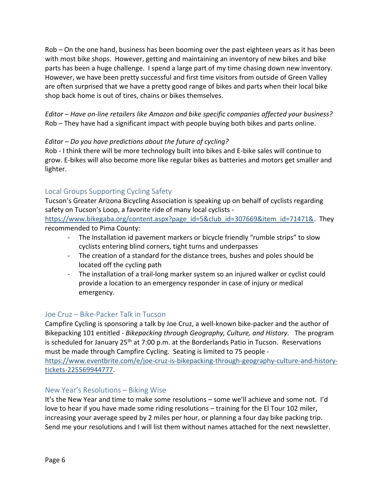Rob – On the one hand, business has been booming over the past eighteen years as it has been with most bike shops. However, getting and maintaining an inventory of new bikes and bike parts has been a huge challenge. I spend a large part of my time chasing down new inventory. However, we have been pretty successful and first time visitors from outside of Green Valley are often surprised that we have a pretty good range of bikes and parts when their local bike shop back home is out of tires, chains or bikes themselves.

*Editor – Have on-line retailers like Amazon and bike specific companies affected your business?* Rob – They have had a significant impact with people buying both bikes and parts online.

#### *Editor – Do you have predictions about the future of cycling?*

Rob - I think there will be more technology built into bikes and E-bike sales will continue to grow. E-bikes will also become more like regular bikes as batteries and motors get smaller and lighter.

#### <span id="page-5-0"></span>Local Groups Supporting Cycling Safety

Tucson's Greater Arizona Bicycling Association is speaking up on behalf of cyclists regarding safety on Tucson's Loop, a favorite ride of many local cyclists -

[https://www.bikegaba.org/content.aspx?page\\_id=5&club\\_id=307669&item\\_id=71471&.](https://www.bikegaba.org/content.aspx?page_id=5&club_id=307669&item_id=71471&) They recommended to Pima County:

- The Installation id pavement markers or bicycle friendly "rumble strips" to slow cyclists entering blind corners, tight turns and underpasses
- The creation of a standard for the distance trees, bushes and poles should be located off the cycling path
- The installation of a trail-long marker system so an injured walker or cyclist could provide a location to an emergency responder in case of injury or medical emergency.

#### <span id="page-5-1"></span>Joe Cruz – Bike-Packer Talk in Tucson

Campfire Cycling is sponsoring a talk by Joe Cruz, a well-known bike-packer and the author of Bikepacking 101 entitled - *Bikepacking through Geography, Culture, and History.* The program is scheduled for January  $25<sup>th</sup>$  at 7:00 p.m. at the Borderlands Patio in Tucson. Reservations must be made through Campfire Cycling. Seating is limited to 75 people -

[https://www.eventbrite.com/e/joe-cruz-is-bikepacking-through-geography-culture-and-history](https://www.eventbrite.com/e/joe-cruz-is-bikepacking-through-geography-culture-and-history-tickets-225569944777)[tickets-225569944777.](https://www.eventbrite.com/e/joe-cruz-is-bikepacking-through-geography-culture-and-history-tickets-225569944777)

#### <span id="page-5-2"></span>New Year's Resolutions – Biking Wise

It's the New Year and time to make some resolutions – some we'll achieve and some not. I'd love to hear if you have made some riding resolutions – training for the El Tour 102 miler, increasing your average speed by 2 miles per hour, or planning a four day bike packing trip. Send me your resolutions and I will list them without names attached for the next newsletter.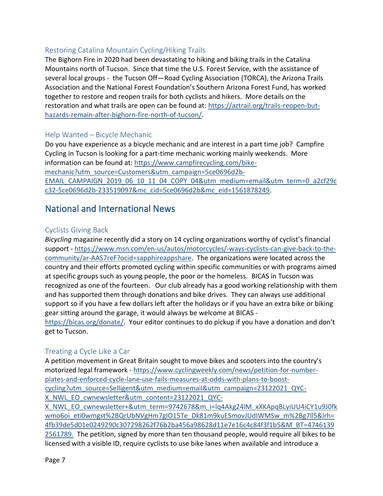### <span id="page-6-0"></span>Restoring Catalina Mountain Cycling/Hiking Trails

The Bighorn Fire in 2020 had been devastating to hiking and biking trails in the Catalina Mountains north of Tucson. Since that time the U.S. Forest Service, with the assistance of several local groups - the Tucson Off—Road Cycling Association (TORCA), the Arizona Trails Association and the National Forest Foundation's Southern Arizona Forest Fund, has worked together to restore and reopen trails for both cyclists and hikers. More details on the restoration and what trails are open can be found at: [https://aztrail.org/trails-reopen-but](https://aztrail.org/trails-reopen-but-hazards-remain-after-bighorn-fire-north-of-tucson/)[hazards-remain-after-bighorn-fire-north-of-tucson/.](https://aztrail.org/trails-reopen-but-hazards-remain-after-bighorn-fire-north-of-tucson/)

#### <span id="page-6-1"></span>Help Wanted – Bicycle Mechanic

Do you have experience as a bicycle mechanic and are interest in a part time job? Campfire Cycling in Tucson is looking for a part-time mechanic working mainly weekends. More information can be found at: [https://www.campfirecycling.com/bike](https://www.campfirecycling.com/bike-mechanic?utm_source=Customers&utm_campaign=5ce0696d2b-EMAIL_CAMPAIGN_2019_06_10_11_04_COPY_04&utm_medium=email&utm_term=0_a2cf29cc32-5ce0696d2b-233519097&mc_cid=5ce0696d2b&mc_eid=1561878249)[mechanic?utm\\_source=Customers&utm\\_campaign=5ce0696d2b-](https://www.campfirecycling.com/bike-mechanic?utm_source=Customers&utm_campaign=5ce0696d2b-EMAIL_CAMPAIGN_2019_06_10_11_04_COPY_04&utm_medium=email&utm_term=0_a2cf29cc32-5ce0696d2b-233519097&mc_cid=5ce0696d2b&mc_eid=1561878249)[EMAIL\\_CAMPAIGN\\_2019\\_06\\_10\\_11\\_04\\_COPY\\_04&utm\\_medium=email&utm\\_term=0\\_a2cf29c](https://www.campfirecycling.com/bike-mechanic?utm_source=Customers&utm_campaign=5ce0696d2b-EMAIL_CAMPAIGN_2019_06_10_11_04_COPY_04&utm_medium=email&utm_term=0_a2cf29cc32-5ce0696d2b-233519097&mc_cid=5ce0696d2b&mc_eid=1561878249) [c32-5ce0696d2b-233519097&mc\\_cid=5ce0696d2b&mc\\_eid=1561878249.](https://www.campfirecycling.com/bike-mechanic?utm_source=Customers&utm_campaign=5ce0696d2b-EMAIL_CAMPAIGN_2019_06_10_11_04_COPY_04&utm_medium=email&utm_term=0_a2cf29cc32-5ce0696d2b-233519097&mc_cid=5ce0696d2b&mc_eid=1561878249)

### <span id="page-6-2"></span>National and International News

#### <span id="page-6-3"></span>Cyclists Giving Back

*Bicycling* magazine recently did a story on 14 cycling organizations worthy of cyclist's financial support - [https://www.msn.com/en-us/autos/motorcycles/-ways-cyclists-can-give-back-to-the](https://www.msn.com/en-us/autos/motorcycles/-ways-cyclists-can-give-back-to-the-community/ar-AAS7reF?ocid=sapphireappshare)[community/ar-AAS7reF?ocid=sapphireappshare.](https://www.msn.com/en-us/autos/motorcycles/-ways-cyclists-can-give-back-to-the-community/ar-AAS7reF?ocid=sapphireappshare) The organizations were located across the country and their efforts promoted cycling within specific communities or with programs aimed at specific groups such as young people, the poor or the homeless. BICAS in Tucson was recognized as one of the fourteen. Our club already has a good working relationship with them and has supported them through donations and bike drives. They can always use additional support so if you have a few dollars left after the holidays or if you have an extra bike or biking gear sitting around the garage, it would always be welcome at BICAS -

[https://bicas.org/donate/.](https://bicas.org/donate/) Your editor continues to do pickup if you have a donation and don't get to Tucson.

#### <span id="page-6-4"></span>Treating a Cycle Like a Car

A petition movement in Great Britain sought to move bikes and scooters into the country's motorized legal framework - [https://www.cyclingweekly.com/news/petition-for-number](https://www.cyclingweekly.com/news/petition-for-number-plates-and-enforced-cycle-lane-use-fails-measures-at-odds-with-plans-to-boost-cycling?utm_source=Selligent&utm_medium=email&utm_campaign=23122021_QYC-X_NWL_EO_cwnewsletter&utm_content=23122021_QYC-X_NWL_EO_cwnewsletter+&utm_term=9742678&m_i=lq4Akg24lM_xXKApqBLyiUU4iCY1u9J0fkwmo6oi_eti0wmgst%2BQrUbNVgHm7gIO15Te_Dk81m9kuESmovJUdIWMSw_m%2Bg7ll5&lrh=4fb39de5d01e0249290c307298262f76b2ba456a98628d11e7e16c4c84f3f1b5&M_BT=47461392561789)[plates-and-enforced-cycle-lane-use-fails-measures-at-odds-with-plans-to-boost](https://www.cyclingweekly.com/news/petition-for-number-plates-and-enforced-cycle-lane-use-fails-measures-at-odds-with-plans-to-boost-cycling?utm_source=Selligent&utm_medium=email&utm_campaign=23122021_QYC-X_NWL_EO_cwnewsletter&utm_content=23122021_QYC-X_NWL_EO_cwnewsletter+&utm_term=9742678&m_i=lq4Akg24lM_xXKApqBLyiUU4iCY1u9J0fkwmo6oi_eti0wmgst%2BQrUbNVgHm7gIO15Te_Dk81m9kuESmovJUdIWMSw_m%2Bg7ll5&lrh=4fb39de5d01e0249290c307298262f76b2ba456a98628d11e7e16c4c84f3f1b5&M_BT=47461392561789)[cycling?utm\\_source=Selligent&utm\\_medium=email&utm\\_campaign=23122021\\_QYC-](https://www.cyclingweekly.com/news/petition-for-number-plates-and-enforced-cycle-lane-use-fails-measures-at-odds-with-plans-to-boost-cycling?utm_source=Selligent&utm_medium=email&utm_campaign=23122021_QYC-X_NWL_EO_cwnewsletter&utm_content=23122021_QYC-X_NWL_EO_cwnewsletter+&utm_term=9742678&m_i=lq4Akg24lM_xXKApqBLyiUU4iCY1u9J0fkwmo6oi_eti0wmgst%2BQrUbNVgHm7gIO15Te_Dk81m9kuESmovJUdIWMSw_m%2Bg7ll5&lrh=4fb39de5d01e0249290c307298262f76b2ba456a98628d11e7e16c4c84f3f1b5&M_BT=47461392561789)[X\\_NWL\\_EO\\_cwnewsletter&utm\\_content=23122021\\_QYC-](https://www.cyclingweekly.com/news/petition-for-number-plates-and-enforced-cycle-lane-use-fails-measures-at-odds-with-plans-to-boost-cycling?utm_source=Selligent&utm_medium=email&utm_campaign=23122021_QYC-X_NWL_EO_cwnewsletter&utm_content=23122021_QYC-X_NWL_EO_cwnewsletter+&utm_term=9742678&m_i=lq4Akg24lM_xXKApqBLyiUU4iCY1u9J0fkwmo6oi_eti0wmgst%2BQrUbNVgHm7gIO15Te_Dk81m9kuESmovJUdIWMSw_m%2Bg7ll5&lrh=4fb39de5d01e0249290c307298262f76b2ba456a98628d11e7e16c4c84f3f1b5&M_BT=47461392561789)

[X\\_NWL\\_EO\\_cwnewsletter+&utm\\_term=9742678&m\\_i=lq4Akg24lM\\_xXKApqBLyiUU4iCY1u9J0fk](https://www.cyclingweekly.com/news/petition-for-number-plates-and-enforced-cycle-lane-use-fails-measures-at-odds-with-plans-to-boost-cycling?utm_source=Selligent&utm_medium=email&utm_campaign=23122021_QYC-X_NWL_EO_cwnewsletter&utm_content=23122021_QYC-X_NWL_EO_cwnewsletter+&utm_term=9742678&m_i=lq4Akg24lM_xXKApqBLyiUU4iCY1u9J0fkwmo6oi_eti0wmgst%2BQrUbNVgHm7gIO15Te_Dk81m9kuESmovJUdIWMSw_m%2Bg7ll5&lrh=4fb39de5d01e0249290c307298262f76b2ba456a98628d11e7e16c4c84f3f1b5&M_BT=47461392561789) [wmo6oi\\_eti0wmgst%2BQrUbNVgHm7gIO15Te\\_Dk81m9kuESmovJUdIWMSw\\_m%2Bg7ll5&lrh=](https://www.cyclingweekly.com/news/petition-for-number-plates-and-enforced-cycle-lane-use-fails-measures-at-odds-with-plans-to-boost-cycling?utm_source=Selligent&utm_medium=email&utm_campaign=23122021_QYC-X_NWL_EO_cwnewsletter&utm_content=23122021_QYC-X_NWL_EO_cwnewsletter+&utm_term=9742678&m_i=lq4Akg24lM_xXKApqBLyiUU4iCY1u9J0fkwmo6oi_eti0wmgst%2BQrUbNVgHm7gIO15Te_Dk81m9kuESmovJUdIWMSw_m%2Bg7ll5&lrh=4fb39de5d01e0249290c307298262f76b2ba456a98628d11e7e16c4c84f3f1b5&M_BT=47461392561789) [4fb39de5d01e0249290c307298262f76b2ba456a98628d11e7e16c4c84f3f1b5&M\\_BT=4746139](https://www.cyclingweekly.com/news/petition-for-number-plates-and-enforced-cycle-lane-use-fails-measures-at-odds-with-plans-to-boost-cycling?utm_source=Selligent&utm_medium=email&utm_campaign=23122021_QYC-X_NWL_EO_cwnewsletter&utm_content=23122021_QYC-X_NWL_EO_cwnewsletter+&utm_term=9742678&m_i=lq4Akg24lM_xXKApqBLyiUU4iCY1u9J0fkwmo6oi_eti0wmgst%2BQrUbNVgHm7gIO15Te_Dk81m9kuESmovJUdIWMSw_m%2Bg7ll5&lrh=4fb39de5d01e0249290c307298262f76b2ba456a98628d11e7e16c4c84f3f1b5&M_BT=47461392561789) [2561789.](https://www.cyclingweekly.com/news/petition-for-number-plates-and-enforced-cycle-lane-use-fails-measures-at-odds-with-plans-to-boost-cycling?utm_source=Selligent&utm_medium=email&utm_campaign=23122021_QYC-X_NWL_EO_cwnewsletter&utm_content=23122021_QYC-X_NWL_EO_cwnewsletter+&utm_term=9742678&m_i=lq4Akg24lM_xXKApqBLyiUU4iCY1u9J0fkwmo6oi_eti0wmgst%2BQrUbNVgHm7gIO15Te_Dk81m9kuESmovJUdIWMSw_m%2Bg7ll5&lrh=4fb39de5d01e0249290c307298262f76b2ba456a98628d11e7e16c4c84f3f1b5&M_BT=47461392561789) The petition, signed by more than ten thousand people, would require all bikes to be licensed with a visible ID, require cyclists to use bike lanes when available and introduce a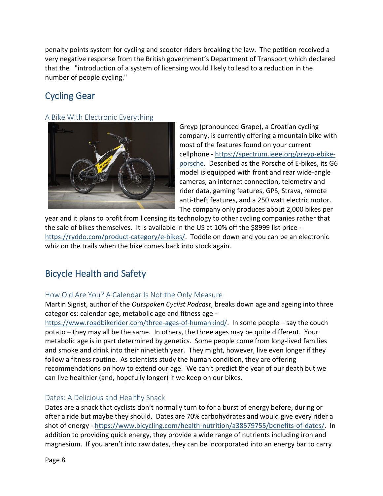penalty points system for cycling and scooter riders breaking the law. The petition received a very negative response from the British government's Department of Transport which declared that the "introduction of a system of licensing would likely to lead to a reduction in the number of people cycling."

# <span id="page-7-0"></span>Cycling Gear

#### <span id="page-7-1"></span>A Bike With Electronic Everything



Greyp (pronounced Grape), a Croatian cycling company, is currently offering a mountain bike with most of the features found on your current cellphone - [https://spectrum.ieee.org/greyp-ebike](https://spectrum.ieee.org/greyp-ebike-porsche)[porsche.](https://spectrum.ieee.org/greyp-ebike-porsche) Described as the Porsche of E-bikes, its G6 model is equipped with front and rear wide-angle cameras, an internet connection, telemetry and rider data, gaming features, GPS, Strava, remote anti-theft features, and a 250 watt electric motor. The company only produces about 2,000 bikes per

year and it plans to profit from licensing its technology to other cycling companies rather that the sale of bikes themselves. It is available in the US at 10% off the \$8999 list price [https://ryddo.com/product-category/e-bikes/.](https://ryddo.com/product-category/e-bikes/) Toddle on down and you can be an electronic whiz on the trails when the bike comes back into stock again.

### <span id="page-7-2"></span>Bicycle Health and Safety

#### <span id="page-7-3"></span>How Old Are You? A Calendar Is Not the Only Measure

Martin Sigrist, author of the *Outspoken Cyclist Podcast*, breaks down age and ageing into three categories: calendar age, metabolic age and fitness age -

[https://www.roadbikerider.com/three-ages-of-humankind/.](https://www.roadbikerider.com/three-ages-of-humankind/) In some people – say the couch potato – they may all be the same. In others, the three ages may be quite different. Your metabolic age is in part determined by genetics. Some people come from long-lived families and smoke and drink into their ninetieth year. They might, however, live even longer if they follow a fitness routine. As scientists study the human condition, they are offering recommendations on how to extend our age. We can't predict the year of our death but we can live healthier (and, hopefully longer) if we keep on our bikes.

#### <span id="page-7-4"></span>Dates: A Delicious and Healthy Snack

Dates are a snack that cyclists don't normally turn to for a burst of energy before, during or after a ride but maybe they should. Dates are 70% carbohydrates and would give every rider a shot of energy - [https://www.bicycling.com/health-nutrition/a38579755/benefits-of-dates/.](https://www.bicycling.com/health-nutrition/a38579755/benefits-of-dates/) In addition to providing quick energy, they provide a wide range of nutrients including iron and magnesium. If you aren't into raw dates, they can be incorporated into an energy bar to carry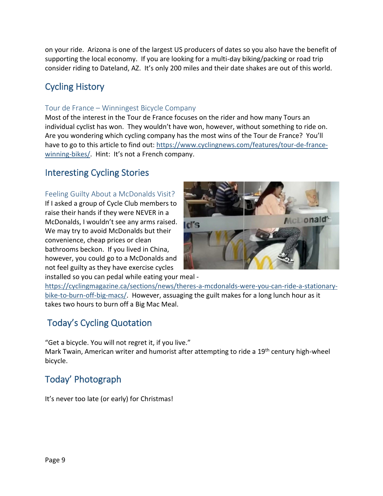on your ride. Arizona is one of the largest US producers of dates so you also have the benefit of supporting the local economy. If you are looking for a multi-day biking/packing or road trip consider riding to Dateland, AZ. It's only 200 miles and their date shakes are out of this world.

### <span id="page-8-0"></span>Cycling History

### <span id="page-8-1"></span>Tour de France – Winningest Bicycle Company

Most of the interest in the Tour de France focuses on the rider and how many Tours an individual cyclist has won. They wouldn't have won, however, without something to ride on. Are you wondering which cycling company has the most wins of the Tour de France? You'll have to go to this article to find out: [https://www.cyclingnews.com/features/tour-de-france](https://www.cyclingnews.com/features/tour-de-france-winning-bikes/)[winning-bikes/](https://www.cyclingnews.com/features/tour-de-france-winning-bikes/). Hint: It's not a French company.

### <span id="page-8-2"></span>Interesting Cycling Stories

#### <span id="page-8-3"></span>Feeling Guilty About a McDonalds Visit?

If I asked a group of Cycle Club members to raise their hands if they were NEVER in a McDonalds, I wouldn't see any arms raised. We may try to avoid McDonalds but their convenience, cheap prices or clean bathrooms beckon. If you lived in China, however, you could go to a McDonalds and not feel guilty as they have exercise cycles installed so you can pedal while eating your meal -



[https://cyclingmagazine.ca/sections/news/theres-a-mcdonalds-were-you-can-ride-a-stationary](https://cyclingmagazine.ca/sections/news/theres-a-mcdonalds-were-you-can-ride-a-stationary-bike-to-burn-off-big-macs/)[bike-to-burn-off-big-macs/.](https://cyclingmagazine.ca/sections/news/theres-a-mcdonalds-were-you-can-ride-a-stationary-bike-to-burn-off-big-macs/) However, assuaging the guilt makes for a long lunch hour as it takes two hours to burn off a Big Mac Meal.

### <span id="page-8-4"></span>Today's Cycling Quotation

"Get a bicycle. You will not regret it, if you live." Mark Twain, American writer and humorist after attempting to ride a 19<sup>th</sup> century high-wheel bicycle.

## <span id="page-8-5"></span>Today' Photograph

It's never too late (or early) for Christmas!